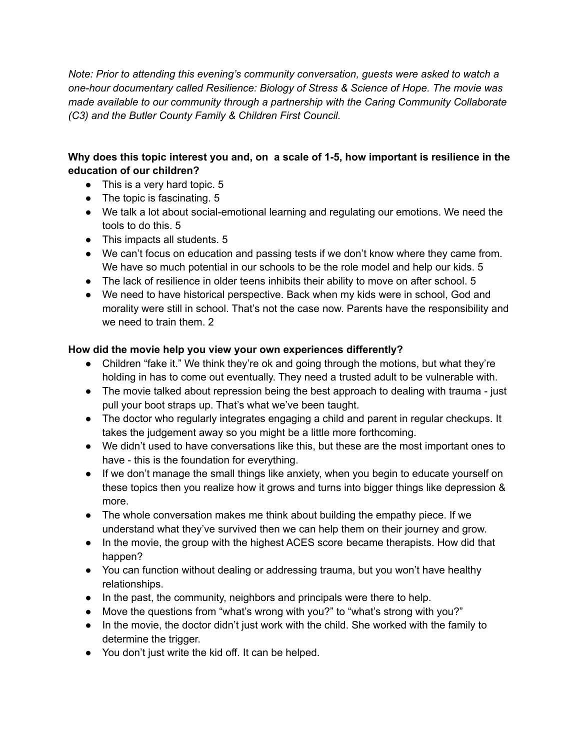*Note: Prior to attending this evening's community conversation, guests were asked to watch a one-hour documentary called Resilience: Biology of Stress & Science of Hope. The movie was made available to our community through a partnership with the Caring Community Collaborate (C3) and the Butler County Family & Children First Council.*

## **Why does this topic interest you and, on a scale of 1-5, how important is resilience in the education of our children?**

- This is a very hard topic. 5
- The topic is fascinating. 5
- We talk a lot about social-emotional learning and regulating our emotions. We need the tools to do this. 5
- This impacts all students. 5
- We can't focus on education and passing tests if we don't know where they came from. We have so much potential in our schools to be the role model and help our kids. 5
- The lack of resilience in older teens inhibits their ability to move on after school. 5
- We need to have historical perspective. Back when my kids were in school, God and morality were still in school. That's not the case now. Parents have the responsibility and we need to train them. 2

## **How did the movie help you view your own experiences differently?**

- Children "fake it." We think they're ok and going through the motions, but what they're holding in has to come out eventually. They need a trusted adult to be vulnerable with.
- The movie talked about repression being the best approach to dealing with trauma just pull your boot straps up. That's what we've been taught.
- The doctor who regularly integrates engaging a child and parent in regular checkups. It takes the judgement away so you might be a little more forthcoming.
- We didn't used to have conversations like this, but these are the most important ones to have - this is the foundation for everything.
- If we don't manage the small things like anxiety, when you begin to educate yourself on these topics then you realize how it grows and turns into bigger things like depression & more.
- The whole conversation makes me think about building the empathy piece. If we understand what they've survived then we can help them on their journey and grow.
- In the movie, the group with the highest ACES score became therapists. How did that happen?
- You can function without dealing or addressing trauma, but you won't have healthy relationships.
- In the past, the community, neighbors and principals were there to help.
- Move the questions from "what's wrong with you?" to "what's strong with you?"
- In the movie, the doctor didn't just work with the child. She worked with the family to determine the trigger.
- You don't just write the kid off. It can be helped.